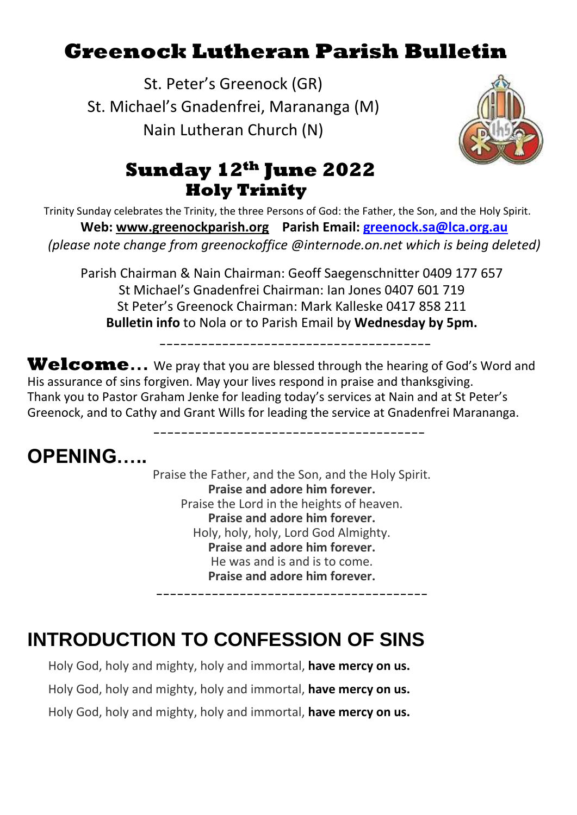# **Greenock Lutheran Parish Bulletin**

St. Peter's Greenock (GR) St. Michael's Gnadenfrei, Marananga (M) Nain Lutheran Church (N)



## **Sunday 12th June 2022 Holy Trinity**

Trinity Sunday celebrates the Trinity, the three Persons of God: the Father, the Son, and the Holy Spirit. **Web: [www.greenockparish.org](http://www.greenockparish.org/) Parish Email: [greenock.sa@lca.org.au](mailto:greenock.sa@lca.org.au)** *(please note change from greenockoffice @internode.on.net which is being deleted)*

Parish Chairman & Nain Chairman: Geoff Saegenschnitter 0409 177 657 St Michael's Gnadenfrei Chairman: Ian Jones 0407 601 719 St Peter's Greenock Chairman: Mark Kalleske 0417 858 211 **Bulletin info** to Nola or to Parish Email by **Wednesday by 5pm.**

---------------------------------------

---------------------------------------

**Welcome…** We pray that you are blessed through the hearing of God's Word and His assurance of sins forgiven. May your lives respond in praise and thanksgiving. Thank you to Pastor Graham Jenke for leading today's services at Nain and at St Peter's Greenock, and to Cathy and Grant Wills for leading the service at Gnadenfrei Marananga.

## **OPENING…..**

Praise the Father, and the Son, and the Holy Spirit. **Praise and adore him forever.** Praise the Lord in the heights of heaven. **Praise and adore him forever.** Holy, holy, holy, Lord God Almighty. **Praise and adore him forever.** He was and is and is to come. **Praise and adore him forever.**

---------------------------------------

# **INTRODUCTION TO CONFESSION OF SINS**

Holy God, holy and mighty, holy and immortal, **have mercy on us.** Holy God, holy and mighty, holy and immortal, **have mercy on us.** Holy God, holy and mighty, holy and immortal, **have mercy on us.**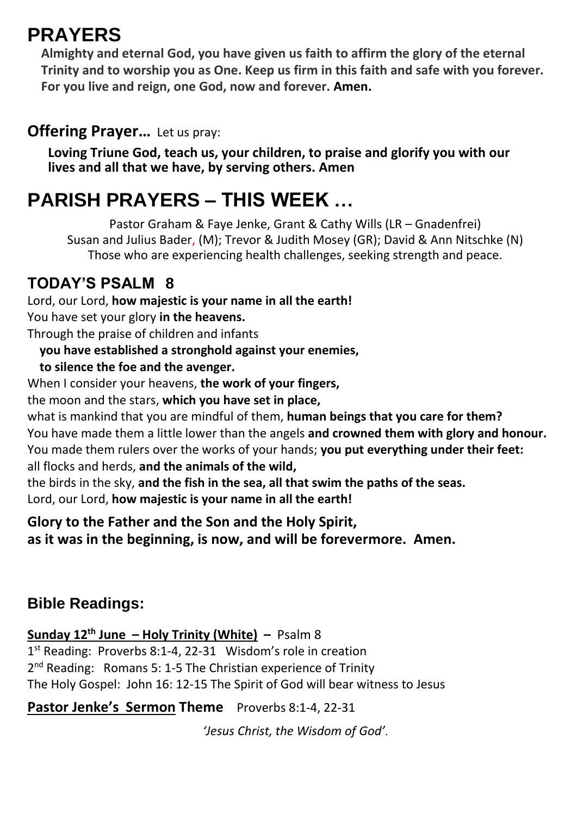## **PRAYERS**

**Almighty and eternal God, you have given us faith to affirm the glory of the eternal Trinity and to worship you as One. Keep us firm in this faith and safe with you forever. For you live and reign, one God, now and forever. Amen.**

#### **Offering Prayer...** Let us pray:

**Loving Triune God, teach us, your children, to praise and glorify you with our lives and all that we have, by serving others. Amen**

# **PARISH PRAYERS – THIS WEEK …**

Pastor Graham & Faye Jenke, Grant & Cathy Wills (LR – Gnadenfrei) Susan and Julius Bader, (M); Trevor & Judith Mosey (GR); David & Ann Nitschke (N) Those who are experiencing health challenges, seeking strength and peace.

### **TODAY'S PSALM 8**

Lord, our Lord, **how majestic is your name in all the earth!** You have set your glory **in the heavens.** Through the praise of children and infants  **you have established a stronghold against your enemies,**

## **to silence the foe and the avenger.**

When I consider your heavens, **the work of your fingers,**

the moon and the stars, **which you have set in place,**

what is mankind that you are mindful of them, **human beings that you care for them?** You have made them a little lower than the angels **and crowned them with glory and honour.** You made them rulers over the works of your hands; **you put everything under their feet:** all flocks and herds, **and the animals of the wild,**

the birds in the sky, **and the fish in the sea, all that swim the paths of the seas.** Lord, our Lord, **how majestic is your name in all the earth!**

**Glory to the Father and the Son and the Holy Spirit, as it was in the beginning, is now, and will be forevermore. Amen.**

### **Bible Readings:**

**Sunday 12th June – Holy Trinity (White) –** Psalm 8

1<sup>st</sup> Reading: Proverbs 8:1-4, 22-31 Wisdom's role in creation 2<sup>nd</sup> Reading: Romans 5: 1-5 The Christian experience of Trinity The Holy Gospel: John 16: 12-15 The Spirit of God will bear witness to Jesus

**Pastor Jenke's Sermon Theme** Proverbs 8:1-4, 22-31

*'Jesus Christ, the Wisdom of God'*.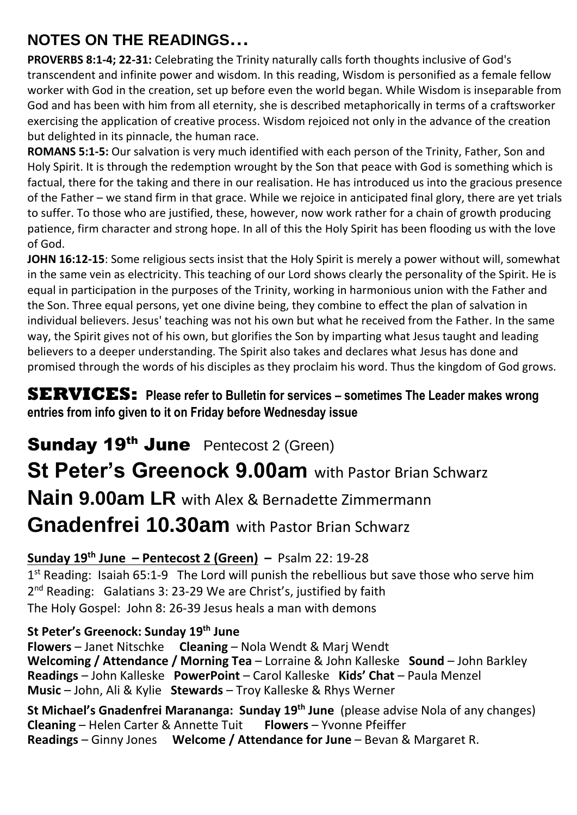## **NOTES ON THE READINGS…**

**PROVERBS 8:1-4; 22-31:** Celebrating the Trinity naturally calls forth thoughts inclusive of God's transcendent and infinite power and wisdom. In this reading, Wisdom is personified as a female fellow worker with God in the creation, set up before even the world began. While Wisdom is inseparable from God and has been with him from all eternity, she is described metaphorically in terms of a craftsworker exercising the application of creative process. Wisdom rejoiced not only in the advance of the creation but delighted in its pinnacle, the human race.

**ROMANS 5:1-5:** Our salvation is very much identified with each person of the Trinity, Father, Son and Holy Spirit. It is through the redemption wrought by the Son that peace with God is something which is factual, there for the taking and there in our realisation. He has introduced us into the gracious presence of the Father – we stand firm in that grace. While we rejoice in anticipated final glory, there are yet trials to suffer. To those who are justified, these, however, now work rather for a chain of growth producing patience, firm character and strong hope. In all of this the Holy Spirit has been flooding us with the love of God.

**JOHN 16:12-15**: Some religious sects insist that the Holy Spirit is merely a power without will, somewhat in the same vein as electricity. This teaching of our Lord shows clearly the personality of the Spirit. He is equal in participation in the purposes of the Trinity, working in harmonious union with the Father and the Son. Three equal persons, yet one divine being, they combine to effect the plan of salvation in individual believers. Jesus' teaching was not his own but what he received from the Father. In the same way, the Spirit gives not of his own, but glorifies the Son by imparting what Jesus taught and leading believers to a deeper understanding. The Spirit also takes and declares what Jesus has done and promised through the words of his disciples as they proclaim his word. Thus the kingdom of God grows.

#### **SERVICES: Please refer to Bulletin for services – sometimes The Leader makes wrong entries from info given to it on Friday before Wednesday issue**

Sunday 19<sup>th</sup> June Pentecost 2 (Green) **St Peter's Greenock 9.00am** with Pastor Brian Schwarz **Nain 9.00am LR** with Alex & Bernadette Zimmermann **Gnadenfrei 10.30am** with Pastor Brian Schwarz

#### **Sunday 19 th June – Pentecost 2 (Green) –** Psalm 22: 19-28

1<sup>st</sup> Reading: Isaiah 65:1-9 The Lord will punish the rebellious but save those who serve him 2<sup>nd</sup> Reading: Galatians 3: 23-29 We are Christ's, justified by faith The Holy Gospel: John 8: 26-39 Jesus heals a man with demons

#### **St Peter's Greenock: Sunday 19 th June**

**Flowers** – Janet Nitschke **Cleaning** – Nola Wendt & Marj Wendt **Welcoming / Attendance / Morning Tea** – Lorraine & John Kalleske **Sound** – John Barkley **Readings** – John Kalleske **PowerPoint** – Carol Kalleske **Kids' Chat** – Paula Menzel **Music** – John, Ali & Kylie **Stewards** – Troy Kalleske & Rhys Werner

**St Michael's Gnadenfrei Marananga: Sunday 19 th June** (please advise Nola of any changes) **Cleaning** – Helen Carter & Annette Tuit **Flowers** – Yvonne Pfeiffer **Readings** – Ginny Jones **Welcome / Attendance for June** – Bevan & Margaret R.